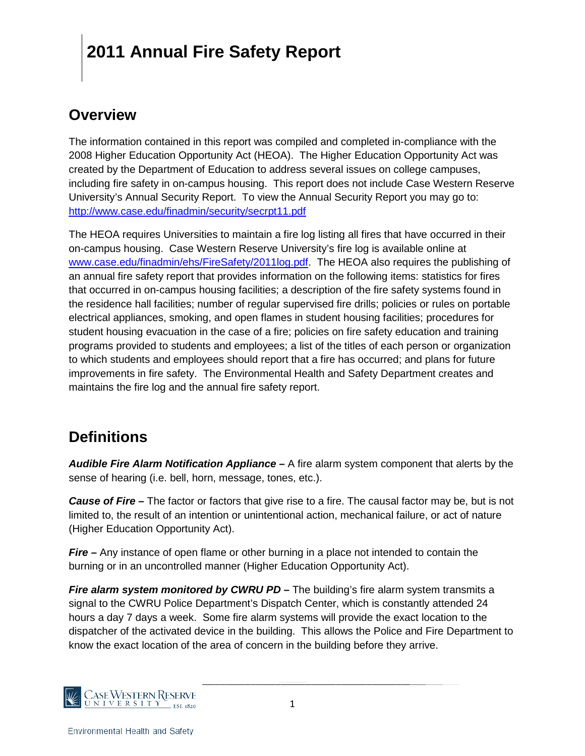#### **Overview**

The information contained in this report was compiled and completed in-compliance with the 2008 Higher Education Opportunity Act (HEOA). The Higher Education Opportunity Act was created by the Department of Education to address several issues on college campuses, including fire safety in on-campus housing. This report does not include Case Western Reserve University's Annual Security Report. To view the Annual Security Report you may go to: <http://www.case.edu/finadmin/security/secrpt11.pdf>

The HEOA requires Universities to maintain a fire log listing all fires that have occurred in their on-campus housing. Case Western Reserve University's fire log is available online at [www.case.edu/finadmin/ehs/FireSafety/2011log.pdf.](http://www.case.edu/finadmin/ehs/FireSafety/2011log.pdf) The HEOA also requires the publishing of an annual fire safety report that provides information on the following items: statistics for fires that occurred in on-campus housing facilities; a description of the fire safety systems found in the residence hall facilities; number of regular supervised fire drills; policies or rules on portable electrical appliances, smoking, and open flames in student housing facilities; procedures for student housing evacuation in the case of a fire; policies on fire safety education and training programs provided to students and employees; a list of the titles of each person or organization to which students and employees should report that a fire has occurred; and plans for future improvements in fire safety. The Environmental Health and Safety Department creates and maintains the fire log and the annual fire safety report.

### **Definitions**

*Audible Fire Alarm Notification Appliance –* A fire alarm system component that alerts by the sense of hearing (i.e. bell, horn, message, tones, etc.).

*Cause of Fire –* The factor or factors that give rise to a fire. The causal factor may be, but is not limited to, the result of an intention or unintentional action, mechanical failure, or act of nature (Higher Education Opportunity Act).

*Fire –* Any instance of open flame or other burning in a place not intended to contain the burning or in an uncontrolled manner (Higher Education Opportunity Act).

*Fire alarm system monitored by CWRU PD* **–** The building's fire alarm system transmits a signal to the CWRU Police Department's Dispatch Center, which is constantly attended 24 hours a day 7 days a week. Some fire alarm systems will provide the exact location to the dispatcher of the activated device in the building. This allows the Police and Fire Department to know the exact location of the area of concern in the building before they arrive.

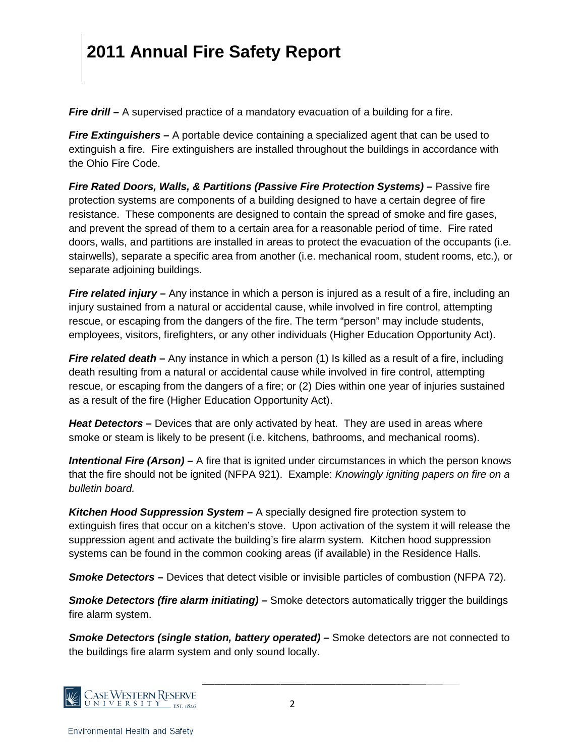*Fire drill* – A supervised practice of a mandatory evacuation of a building for a fire.

*Fire Extinguishers –* A portable device containing a specialized agent that can be used to extinguish a fire. Fire extinguishers are installed throughout the buildings in accordance with the Ohio Fire Code.

*Fire Rated Doors, Walls, & Partitions (Passive Fire Protection Systems) –* Passive fire protection systems are components of a building designed to have a certain degree of fire resistance. These components are designed to contain the spread of smoke and fire gases, and prevent the spread of them to a certain area for a reasonable period of time. Fire rated doors, walls, and partitions are installed in areas to protect the evacuation of the occupants (i.e. stairwells), separate a specific area from another (i.e. mechanical room, student rooms, etc.), or separate adjoining buildings.

*Fire related injury* – Any instance in which a person is injured as a result of a fire, including an injury sustained from a natural or accidental cause, while involved in fire control, attempting rescue, or escaping from the dangers of the fire. The term "person" may include students, employees, visitors, firefighters, or any other individuals (Higher Education Opportunity Act).

*Fire related death –* Any instance in which a person (1) Is killed as a result of a fire, including death resulting from a natural or accidental cause while involved in fire control, attempting rescue, or escaping from the dangers of a fire; or (2) Dies within one year of injuries sustained as a result of the fire (Higher Education Opportunity Act).

*Heat Detectors –* Devices that are only activated by heat. They are used in areas where smoke or steam is likely to be present (i.e. kitchens, bathrooms, and mechanical rooms).

*Intentional Fire (Arson)* – A fire that is ignited under circumstances in which the person knows that the fire should not be ignited (NFPA 921). Example: *Knowingly igniting papers on fire on a bulletin board.*

*Kitchen Hood Suppression System –* A specially designed fire protection system to extinguish fires that occur on a kitchen's stove. Upon activation of the system it will release the suppression agent and activate the building's fire alarm system. Kitchen hood suppression systems can be found in the common cooking areas (if available) in the Residence Halls.

**Smoke Detectors** – Devices that detect visible or invisible particles of combustion (NFPA 72).

*Smoke Detectors (fire alarm initiating) –* Smoke detectors automatically trigger the buildings fire alarm system.

*Smoke Detectors (single station, battery operated) –* Smoke detectors are not connected to the buildings fire alarm system and only sound locally.

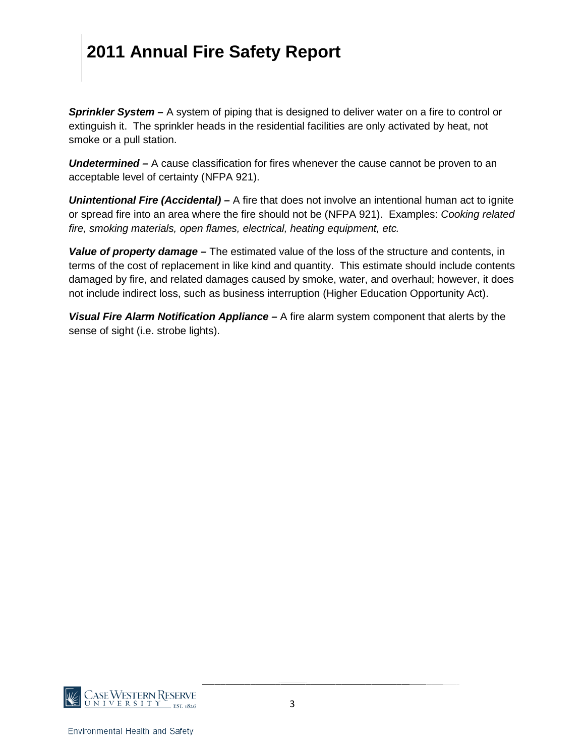*Sprinkler System –* A system of piping that is designed to deliver water on a fire to control or extinguish it. The sprinkler heads in the residential facilities are only activated by heat, not smoke or a pull station.

*Undetermined –* A cause classification for fires whenever the cause cannot be proven to an acceptable level of certainty (NFPA 921).

*Unintentional Fire (Accidental) –* A fire that does not involve an intentional human act to ignite or spread fire into an area where the fire should not be (NFPA 921). Examples: *Cooking related fire, smoking materials, open flames, electrical, heating equipment, etc.*

*Value of property damage –* The estimated value of the loss of the structure and contents, in terms of the cost of replacement in like kind and quantity. This estimate should include contents damaged by fire, and related damages caused by smoke, water, and overhaul; however, it does not include indirect loss, such as business interruption (Higher Education Opportunity Act).

*Visual Fire Alarm Notification Appliance –* A fire alarm system component that alerts by the sense of sight (i.e. strobe lights).

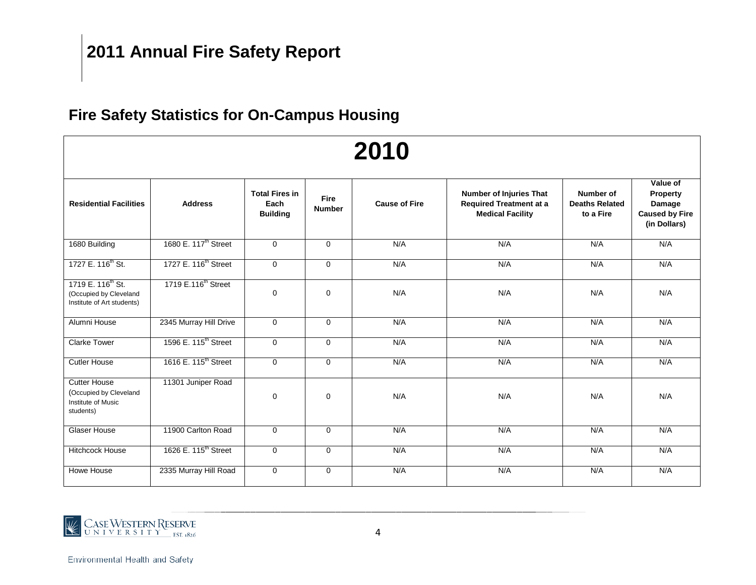### **Fire Safety Statistics for On-Campus Housing**

|                                                                                       |                                  |                                                  |                       | 2010                 |                                                                                      |                                                 |                                                                         |
|---------------------------------------------------------------------------------------|----------------------------------|--------------------------------------------------|-----------------------|----------------------|--------------------------------------------------------------------------------------|-------------------------------------------------|-------------------------------------------------------------------------|
| <b>Residential Facilities</b>                                                         | <b>Address</b>                   | <b>Total Fires in</b><br>Each<br><b>Building</b> | Fire<br><b>Number</b> | <b>Cause of Fire</b> | Number of Injuries That<br><b>Required Treatment at a</b><br><b>Medical Facility</b> | Number of<br><b>Deaths Related</b><br>to a Fire | Value of<br>Property<br>Damage<br><b>Caused by Fire</b><br>(in Dollars) |
| 1680 Building                                                                         | 1680 E. 117 <sup>th</sup> Street | $\Omega$                                         | $\Omega$              | N/A                  | N/A                                                                                  | N/A                                             | N/A                                                                     |
| 1727 E. 116 <sup>th</sup> St.                                                         | 1727 E. 116 <sup>th</sup> Street | $\mathbf 0$                                      | $\Omega$              | N/A                  | N/A                                                                                  | N/A                                             | N/A                                                                     |
| 1719 E. 116 <sup>th</sup> St.<br>(Occupied by Cleveland<br>Institute of Art students) | 1719 E.116 <sup>th</sup> Street  | $\Omega$                                         | $\Omega$              | N/A                  | N/A                                                                                  | N/A                                             | N/A                                                                     |
| Alumni House                                                                          | 2345 Murray Hill Drive           | $\mathbf 0$                                      | $\mathbf{0}$          | N/A                  | N/A                                                                                  | N/A                                             | N/A                                                                     |
| <b>Clarke Tower</b>                                                                   | 1596 E. 115 <sup>th</sup> Street | $\mathbf 0$                                      | $\mathbf 0$           | N/A                  | N/A                                                                                  | N/A                                             | N/A                                                                     |
| <b>Cutler House</b>                                                                   | 1616 E. 115 <sup>th</sup> Street | $\mathbf 0$                                      | $\mathbf 0$           | N/A                  | N/A                                                                                  | N/A                                             | N/A                                                                     |
| <b>Cutter House</b><br>(Occupied by Cleveland<br>Institute of Music<br>students)      | 11301 Juniper Road               | $\mathbf 0$                                      | $\mathbf 0$           | N/A                  | N/A                                                                                  | N/A                                             | N/A                                                                     |
| <b>Glaser House</b>                                                                   | 11900 Carlton Road               | $\Omega$                                         | $\Omega$              | N/A                  | N/A                                                                                  | N/A                                             | N/A                                                                     |
| <b>Hitchcock House</b>                                                                | 1626 E. 115 <sup>th</sup> Street | $\mathbf 0$                                      | $\mathbf 0$           | N/A                  | N/A                                                                                  | N/A                                             | N/A                                                                     |
| Howe House                                                                            | 2335 Murray Hill Road            | $\mathbf 0$                                      | $\mathbf{0}$          | N/A                  | N/A                                                                                  | N/A                                             | N/A                                                                     |

# CASEWESTERN RESERVE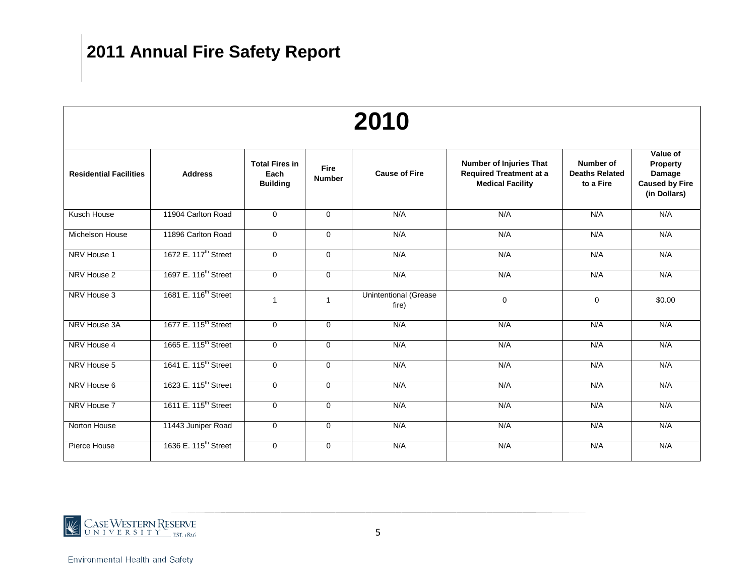|                               |                                  |                                                  |                              | 2010                                  |                                                                                             |                                                 |                                                                         |
|-------------------------------|----------------------------------|--------------------------------------------------|------------------------------|---------------------------------------|---------------------------------------------------------------------------------------------|-------------------------------------------------|-------------------------------------------------------------------------|
| <b>Residential Facilities</b> | <b>Address</b>                   | <b>Total Fires in</b><br>Each<br><b>Building</b> | <b>Fire</b><br><b>Number</b> | <b>Cause of Fire</b>                  | <b>Number of Injuries That</b><br><b>Required Treatment at a</b><br><b>Medical Facility</b> | Number of<br><b>Deaths Related</b><br>to a Fire | Value of<br>Property<br>Damage<br><b>Caused by Fire</b><br>(in Dollars) |
| Kusch House                   | 11904 Carlton Road               | $\Omega$                                         | $\Omega$                     | N/A                                   | N/A                                                                                         | N/A                                             | N/A                                                                     |
| <b>Michelson House</b>        | 11896 Carlton Road               | $\mathbf{0}$                                     | $\mathbf 0$                  | N/A                                   | N/A                                                                                         | N/A                                             | N/A                                                                     |
| NRV House 1                   | 1672 E. 117 <sup>th</sup> Street | $\mathbf 0$                                      | $\mathbf{0}$                 | N/A                                   | N/A                                                                                         | N/A                                             | N/A                                                                     |
| NRV House 2                   | 1697 E. 116 <sup>th</sup> Street | $\mathbf{0}$                                     | $\mathbf 0$                  | N/A                                   | N/A                                                                                         | N/A                                             | N/A                                                                     |
| NRV House 3                   | 1681 E. 116 <sup>th</sup> Street | $\mathbf{1}$                                     | 1                            | <b>Unintentional (Grease</b><br>fire) | $\mathbf 0$                                                                                 | $\mathbf 0$                                     | \$0.00                                                                  |
| NRV House 3A                  | 1677 E. 115 <sup>th</sup> Street | $\Omega$                                         | $\Omega$                     | N/A                                   | N/A                                                                                         | N/A                                             | N/A                                                                     |
| NRV House 4                   | 1665 E. 115 <sup>th</sup> Street | $\mathbf 0$                                      | $\mathbf 0$                  | N/A                                   | N/A                                                                                         | N/A                                             | N/A                                                                     |
| NRV House 5                   | 1641 E. 115 <sup>th</sup> Street | $\Omega$                                         | $\Omega$                     | N/A                                   | N/A                                                                                         | N/A                                             | N/A                                                                     |
| NRV House 6                   | 1623 E. 115 <sup>th</sup> Street | $\mathbf{0}$                                     | $\mathbf 0$                  | N/A                                   | N/A                                                                                         | N/A                                             | N/A                                                                     |
| NRV House 7                   | 1611 E. 115 <sup>th</sup> Street | $\mathbf 0$                                      | $\mathbf{0}$                 | N/A                                   | N/A                                                                                         | N/A                                             | N/A                                                                     |
| Norton House                  | 11443 Juniper Road               | $\mathbf{0}$                                     | 0                            | N/A                                   | N/A                                                                                         | N/A                                             | N/A                                                                     |
| Pierce House                  | 1636 E. 115 <sup>th</sup> Street | $\mathbf 0$                                      | $\mathbf 0$                  | N/A                                   | N/A                                                                                         | N/A                                             | N/A                                                                     |

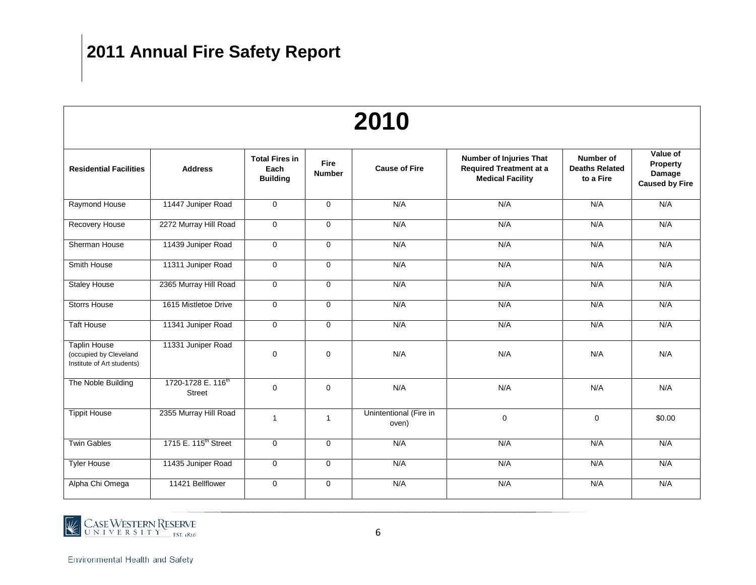|                                                                             |                                                 |                                                  |                       | 2010                            |                                                                                      |                                                 |                                                         |
|-----------------------------------------------------------------------------|-------------------------------------------------|--------------------------------------------------|-----------------------|---------------------------------|--------------------------------------------------------------------------------------|-------------------------------------------------|---------------------------------------------------------|
| <b>Residential Facilities</b>                                               | <b>Address</b>                                  | <b>Total Fires in</b><br>Each<br><b>Building</b> | Fire<br><b>Number</b> | <b>Cause of Fire</b>            | Number of Injuries That<br><b>Required Treatment at a</b><br><b>Medical Facility</b> | Number of<br><b>Deaths Related</b><br>to a Fire | Value of<br>Property<br>Damage<br><b>Caused by Fire</b> |
| Raymond House                                                               | 11447 Juniper Road                              | $\mathbf{0}$                                     | $\overline{0}$        | N/A                             | N/A                                                                                  | N/A                                             | N/A                                                     |
| Recovery House                                                              | 2272 Murray Hill Road                           | $\Omega$                                         | $\Omega$              | N/A                             | N/A                                                                                  | N/A                                             | N/A                                                     |
| Sherman House                                                               | 11439 Juniper Road                              | $\mathbf{0}$                                     | $\Omega$              | N/A                             | N/A                                                                                  | N/A                                             | N/A                                                     |
| Smith House                                                                 | 11311 Juniper Road                              | $\mathbf 0$                                      | $\mathbf 0$           | N/A                             | N/A                                                                                  | N/A                                             | N/A                                                     |
| <b>Staley House</b>                                                         | 2365 Murray Hill Road                           | $\mathbf 0$                                      | $\mathbf 0$           | N/A                             | N/A                                                                                  | N/A                                             | N/A                                                     |
| <b>Storrs House</b>                                                         | 1615 Mistletoe Drive                            | $\mathbf 0$                                      | $\mathbf 0$           | N/A                             | N/A                                                                                  |                                                 | N/A                                                     |
| <b>Taft House</b>                                                           | 11341 Juniper Road                              | $\mathbf 0$                                      | $\mathbf 0$           | N/A                             | N/A                                                                                  | N/A                                             | N/A                                                     |
| <b>Taplin House</b><br>(occupied by Cleveland<br>Institute of Art students) | 11331 Juniper Road                              | $\Omega$                                         | $\Omega$              | N/A                             | N/A                                                                                  | N/A                                             | N/A                                                     |
| The Noble Building                                                          | 1720-1728 E. 116 <sup>th</sup><br><b>Street</b> | $\mathbf 0$                                      | $\Omega$              | N/A                             | N/A                                                                                  | N/A                                             | N/A                                                     |
| <b>Tippit House</b>                                                         | 2355 Murray Hill Road                           | $\mathbf{1}$                                     | $\mathbf{1}$          | Unintentional (Fire in<br>oven) | $\mathbf 0$                                                                          | $\mathbf 0$                                     | \$0.00                                                  |
| <b>Twin Gables</b>                                                          | 1715 E. 115 <sup>th</sup> Street                | $\mathbf 0$                                      | $\mathbf 0$           | N/A                             | N/A                                                                                  | N/A                                             | N/A                                                     |
| <b>Tyler House</b>                                                          | 11435 Juniper Road                              | $\mathbf 0$                                      | $\mathbf 0$           | N/A                             | N/A                                                                                  | N/A                                             | N/A                                                     |
| Alpha Chi Omega                                                             | 11421 Bellflower                                | $\mathbf 0$                                      | 0                     | N/A                             | N/A                                                                                  | N/A                                             | N/A                                                     |

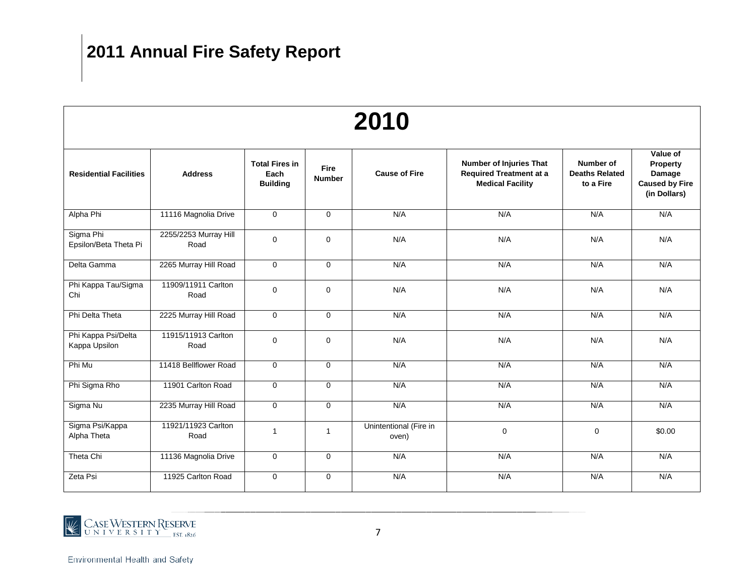|                                      |                               |                                                  |                              | 2010                            |                                                                                      |                                                 |                                                                         |
|--------------------------------------|-------------------------------|--------------------------------------------------|------------------------------|---------------------------------|--------------------------------------------------------------------------------------|-------------------------------------------------|-------------------------------------------------------------------------|
| <b>Residential Facilities</b>        | <b>Address</b>                | <b>Total Fires in</b><br>Each<br><b>Building</b> | <b>Fire</b><br><b>Number</b> | <b>Cause of Fire</b>            | Number of Injuries That<br><b>Required Treatment at a</b><br><b>Medical Facility</b> | Number of<br><b>Deaths Related</b><br>to a Fire | Value of<br>Property<br>Damage<br><b>Caused by Fire</b><br>(in Dollars) |
| Alpha Phi                            | 11116 Magnolia Drive          | $\mathbf 0$                                      | $\Omega$                     | N/A                             | N/A                                                                                  | N/A                                             | N/A                                                                     |
| Sigma Phi<br>Epsilon/Beta Theta Pi   | 2255/2253 Murray Hill<br>Road | $\mathbf 0$                                      | $\mathbf{0}$                 | N/A                             | N/A                                                                                  | N/A                                             | N/A                                                                     |
| Delta Gamma                          | 2265 Murray Hill Road         | $\mathbf 0$                                      | $\Omega$                     | N/A                             | N/A                                                                                  | N/A                                             | N/A                                                                     |
| Phi Kappa Tau/Sigma<br>Chi           | 11909/11911 Carlton<br>Road   | $\mathbf 0$                                      | $\mathbf 0$                  | N/A                             | N/A                                                                                  |                                                 | N/A                                                                     |
| Phi Delta Theta                      | 2225 Murray Hill Road         | $\mathbf 0$                                      | $\Omega$                     | N/A                             | N/A                                                                                  | N/A                                             | N/A                                                                     |
| Phi Kappa Psi/Delta<br>Kappa Upsilon | 11915/11913 Carlton<br>Road   | $\mathbf 0$                                      | $\mathbf{0}$                 | N/A                             | N/A                                                                                  | N/A                                             | N/A                                                                     |
| Phi Mu                               | 11418 Bellflower Road         | $\mathbf 0$                                      | $\Omega$                     | N/A                             | N/A                                                                                  | N/A                                             | N/A                                                                     |
| Phi Sigma Rho                        | 11901 Carlton Road            | $\mathbf 0$                                      | $\mathbf 0$                  | N/A                             | N/A                                                                                  | N/A                                             | N/A                                                                     |
| Sigma Nu                             | 2235 Murray Hill Road         | $\mathbf 0$                                      | $\mathbf 0$                  | N/A                             | N/A                                                                                  | N/A                                             | N/A                                                                     |
| Sigma Psi/Kappa<br>Alpha Theta       | 11921/11923 Carlton<br>Road   | $\overline{1}$                                   | $\mathbf{1}$                 | Unintentional (Fire in<br>oven) | $\mathbf 0$                                                                          | $\mathbf 0$                                     | \$0.00                                                                  |
| Theta Chi                            | 11136 Magnolia Drive          | $\mathbf 0$                                      | $\mathbf 0$                  | N/A                             | N/A                                                                                  | N/A                                             | N/A                                                                     |
| Zeta Psi                             | 11925 Carlton Road            | $\mathbf 0$                                      | $\mathbf 0$                  | N/A                             | N/A                                                                                  | N/A                                             | N/A                                                                     |

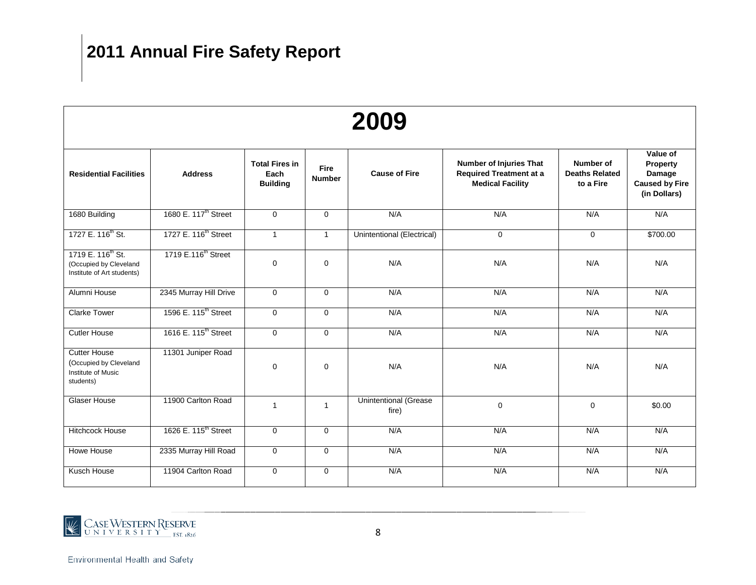|                                                                                       |                                  |                                                  |                              | 2009                                  |                                                                                             |                                                 |                                                                         |
|---------------------------------------------------------------------------------------|----------------------------------|--------------------------------------------------|------------------------------|---------------------------------------|---------------------------------------------------------------------------------------------|-------------------------------------------------|-------------------------------------------------------------------------|
| <b>Residential Facilities</b>                                                         | <b>Address</b>                   | <b>Total Fires in</b><br>Each<br><b>Building</b> | <b>Fire</b><br><b>Number</b> | <b>Cause of Fire</b>                  | <b>Number of Injuries That</b><br><b>Required Treatment at a</b><br><b>Medical Facility</b> | Number of<br><b>Deaths Related</b><br>to a Fire | Value of<br>Property<br>Damage<br><b>Caused by Fire</b><br>(in Dollars) |
| 1680 Building                                                                         | 1680 E. 117 <sup>th</sup> Street | $\Omega$                                         | $\Omega$                     | N/A                                   | N/A                                                                                         | N/A                                             | N/A                                                                     |
| 1727 E. 116 <sup>th</sup> St.                                                         | 1727 E. 116 <sup>th</sup> Street | $\mathbf{1}$                                     | $\mathbf{1}$                 | Unintentional (Electrical)            | $\mathbf 0$                                                                                 | $\mathbf 0$                                     | \$700.00                                                                |
| 1719 E. 116 <sup>th</sup> St.<br>(Occupied by Cleveland<br>Institute of Art students) | 1719 E.116 <sup>th</sup> Street  | $\Omega$                                         | 0                            | N/A                                   | N/A                                                                                         | N/A                                             | N/A                                                                     |
| Alumni House                                                                          | 2345 Murray Hill Drive           | $\mathbf 0$                                      | $\overline{0}$               | N/A                                   | N/A                                                                                         | N/A                                             | N/A                                                                     |
| <b>Clarke Tower</b>                                                                   | 1596 E. 115 <sup>th</sup> Street | $\Omega$                                         | $\Omega$                     | N/A                                   | N/A                                                                                         | N/A                                             | N/A                                                                     |
| <b>Cutler House</b>                                                                   | 1616 E. 115 <sup>th</sup> Street | $\Omega$                                         | $\Omega$                     | N/A                                   | N/A                                                                                         | N/A                                             | N/A                                                                     |
| <b>Cutter House</b><br>(Occupied by Cleveland<br>Institute of Music<br>students)      | 11301 Juniper Road               | 0                                                | 0                            | N/A                                   | N/A                                                                                         | N/A                                             | N/A                                                                     |
| Glaser House                                                                          | 11900 Carlton Road               | $\mathbf{1}$                                     | $\mathbf{1}$                 | <b>Unintentional (Grease</b><br>fire) | $\pmb{0}$                                                                                   | $\mathbf 0$                                     | \$0.00                                                                  |
| Hitchcock House                                                                       | 1626 E. 115 <sup>th</sup> Street | $\mathbf 0$                                      | 0                            | N/A                                   | N/A                                                                                         | N/A                                             | N/A                                                                     |
| Howe House                                                                            | 2335 Murray Hill Road            | $\mathbf 0$                                      | $\overline{0}$               | N/A                                   | N/A                                                                                         | N/A                                             | N/A                                                                     |
| Kusch House                                                                           | 11904 Carlton Road               | $\mathbf 0$                                      | 0                            | N/A                                   | N/A                                                                                         | N/A                                             | N/A                                                                     |

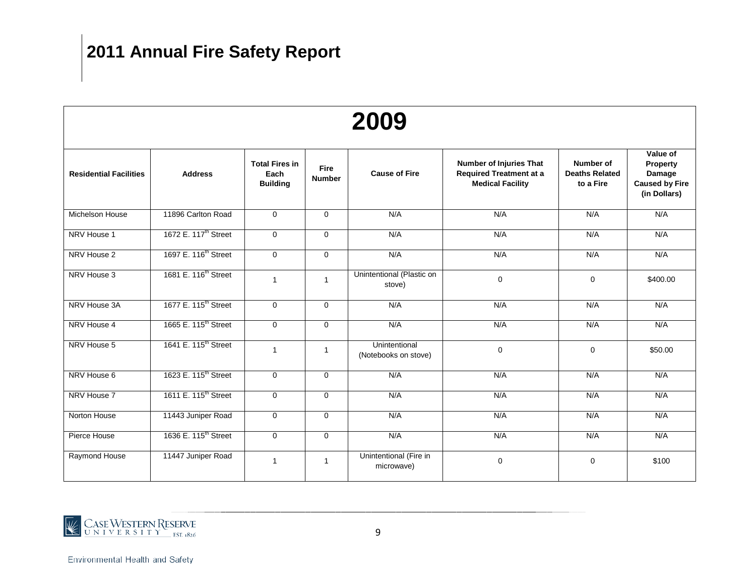|                               |                                  |                                                  |                              | 2009                                  |                                                                                             |                                                 |                                                                         |
|-------------------------------|----------------------------------|--------------------------------------------------|------------------------------|---------------------------------------|---------------------------------------------------------------------------------------------|-------------------------------------------------|-------------------------------------------------------------------------|
| <b>Residential Facilities</b> | <b>Address</b>                   | <b>Total Fires in</b><br>Each<br><b>Building</b> | <b>Fire</b><br><b>Number</b> | <b>Cause of Fire</b>                  | <b>Number of Injuries That</b><br><b>Required Treatment at a</b><br><b>Medical Facility</b> | Number of<br><b>Deaths Related</b><br>to a Fire | Value of<br>Property<br>Damage<br><b>Caused by Fire</b><br>(in Dollars) |
| Michelson House               | 11896 Carlton Road               | $\mathbf 0$                                      | $\mathbf 0$                  | N/A                                   | N/A                                                                                         | N/A                                             | N/A                                                                     |
| NRV House 1                   | 1672 E. 117 <sup>th</sup> Street | $\Omega$                                         | $\mathbf 0$                  | N/A                                   | N/A                                                                                         | N/A                                             | N/A                                                                     |
| NRV House 2                   | 1697 E. 116 <sup>th</sup> Street | $\Omega$                                         | $\mathbf 0$                  | N/A                                   | N/A                                                                                         | N/A                                             | N/A                                                                     |
| NRV House 3                   | 1681 E. 116 <sup>th</sup> Street | $\mathbf{1}$                                     | $\mathbf{1}$                 | Unintentional (Plastic on<br>stove)   | $\mathbf 0$                                                                                 | $\mathbf 0$                                     | \$400.00                                                                |
| NRV House 3A                  | 1677 E. 115 <sup>th</sup> Street | $\mathbf 0$                                      | $\Omega$                     | N/A                                   | N/A                                                                                         | N/A                                             | N/A                                                                     |
| NRV House 4                   | 1665 E. 115 <sup>th</sup> Street | $\mathbf 0$                                      | $\mathbf 0$                  | N/A                                   | N/A                                                                                         | N/A                                             | N/A                                                                     |
| NRV House 5                   | 1641 E. 115 <sup>th</sup> Street | $\mathbf{1}$                                     | $\mathbf{1}$                 | Unintentional<br>(Notebooks on stove) | $\mathbf 0$                                                                                 | 0                                               | \$50.00                                                                 |
| NRV House 6                   | 1623 E. 115 <sup>th</sup> Street | $\mathbf 0$                                      | $\mathbf 0$                  | N/A                                   | N/A                                                                                         | N/A                                             | N/A                                                                     |
| NRV House 7                   | 1611 E. 115 <sup>th</sup> Street | $\Omega$                                         | $\Omega$                     | N/A                                   | N/A                                                                                         | N/A                                             | N/A                                                                     |
| Norton House                  | 11443 Juniper Road               | $\Omega$                                         | $\Omega$                     | N/A                                   | N/A                                                                                         | N/A                                             | N/A                                                                     |
| Pierce House                  | 1636 E. 115 <sup>th</sup> Street | $\mathbf 0$                                      | $\mathbf 0$                  | N/A                                   | N/A                                                                                         | N/A                                             | N/A                                                                     |
| Raymond House                 | 11447 Juniper Road               | 1                                                | $\mathbf{1}$                 | Unintentional (Fire in<br>microwave)  | $\mathbf 0$                                                                                 | $\mathbf 0$                                     | \$100                                                                   |

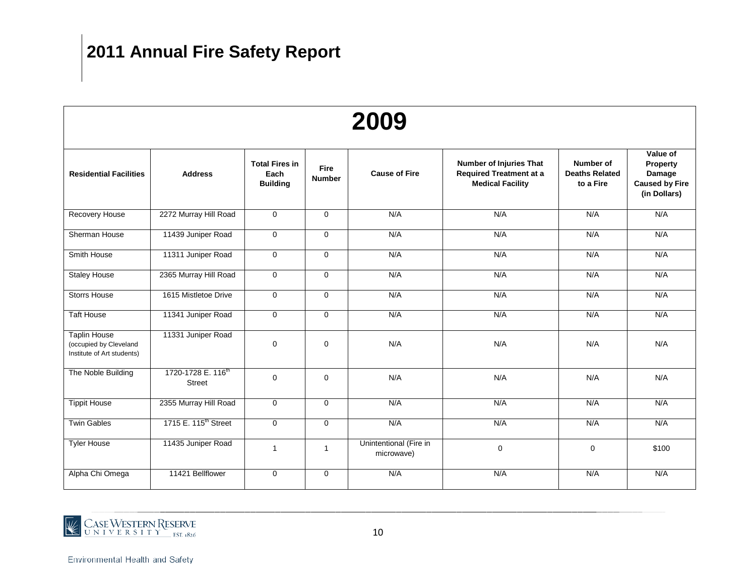|                                                                             |                                                 |                                                  |                              | 2009                                 |                                                                                             |                                                 |                                                                         |
|-----------------------------------------------------------------------------|-------------------------------------------------|--------------------------------------------------|------------------------------|--------------------------------------|---------------------------------------------------------------------------------------------|-------------------------------------------------|-------------------------------------------------------------------------|
| <b>Residential Facilities</b>                                               | <b>Address</b>                                  | <b>Total Fires in</b><br>Each<br><b>Building</b> | <b>Fire</b><br><b>Number</b> | <b>Cause of Fire</b>                 | <b>Number of Injuries That</b><br><b>Required Treatment at a</b><br><b>Medical Facility</b> | Number of<br><b>Deaths Related</b><br>to a Fire | Value of<br>Property<br>Damage<br><b>Caused by Fire</b><br>(in Dollars) |
| Recovery House                                                              | 2272 Murray Hill Road                           | $\mathbf 0$                                      | $\mathbf 0$                  | N/A                                  | N/A                                                                                         | N/A                                             | N/A                                                                     |
| Sherman House                                                               | 11439 Juniper Road                              | $\mathbf 0$                                      | $\mathbf 0$                  | N/A                                  | N/A                                                                                         | N/A                                             | N/A                                                                     |
| Smith House                                                                 | 11311 Juniper Road                              | $\mathbf 0$                                      | $\mathbf 0$                  | N/A                                  | N/A                                                                                         | N/A                                             | N/A                                                                     |
| <b>Staley House</b>                                                         | 2365 Murray Hill Road                           | $\mathbf 0$                                      | $\mathbf 0$                  | N/A                                  | N/A                                                                                         | N/A                                             | N/A                                                                     |
| <b>Storrs House</b>                                                         | 1615 Mistletoe Drive                            | $\Omega$                                         | $\Omega$                     | N/A<br>N/A                           |                                                                                             | N/A                                             | N/A                                                                     |
| <b>Taft House</b>                                                           | 11341 Juniper Road                              | $\mathbf 0$                                      | $\Omega$                     | N/A                                  | N/A                                                                                         | N/A                                             | N/A                                                                     |
| <b>Taplin House</b><br>(occupied by Cleveland<br>Institute of Art students) | 11331 Juniper Road                              | $\mathbf 0$                                      | $\mathbf 0$                  | N/A                                  | N/A                                                                                         | N/A                                             | N/A                                                                     |
| The Noble Building                                                          | 1720-1728 E. 116 <sup>th</sup><br><b>Street</b> | $\Omega$                                         | $\Omega$                     | N/A                                  | N/A                                                                                         | N/A                                             | N/A                                                                     |
| <b>Tippit House</b>                                                         | 2355 Murray Hill Road                           | $\mathbf 0$                                      | $\mathbf 0$                  | N/A                                  | N/A                                                                                         | N/A                                             | N/A                                                                     |
| <b>Twin Gables</b>                                                          | 1715 E. 115 <sup>th</sup> Street                | $\mathbf 0$                                      | $\mathbf 0$                  | N/A                                  | N/A                                                                                         | N/A                                             | N/A                                                                     |
| <b>Tyler House</b>                                                          | 11435 Juniper Road                              | $\mathbf{1}$                                     | $\mathbf{1}$                 | Unintentional (Fire in<br>microwave) | $\mathbf 0$                                                                                 | 0                                               | \$100                                                                   |
| Alpha Chi Omega                                                             | 11421 Bellflower                                | $\Omega$                                         | $\Omega$                     | N/A                                  | N/A                                                                                         | N/A                                             | N/A                                                                     |

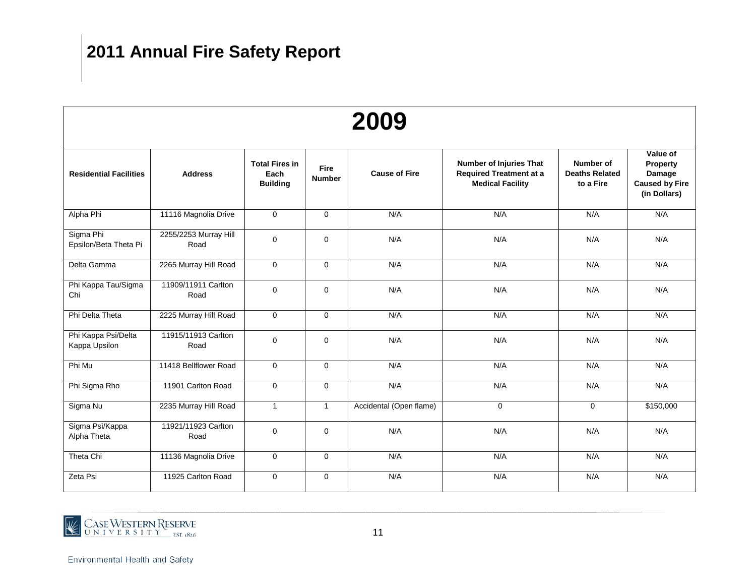|                                      |                               |                                                  |                              | 2009                    |                                                                                             |                                                 |                                                                         |
|--------------------------------------|-------------------------------|--------------------------------------------------|------------------------------|-------------------------|---------------------------------------------------------------------------------------------|-------------------------------------------------|-------------------------------------------------------------------------|
| <b>Residential Facilities</b>        | <b>Address</b>                | <b>Total Fires in</b><br>Each<br><b>Building</b> | <b>Fire</b><br><b>Number</b> | <b>Cause of Fire</b>    | <b>Number of Injuries That</b><br><b>Required Treatment at a</b><br><b>Medical Facility</b> | Number of<br><b>Deaths Related</b><br>to a Fire | Value of<br>Property<br>Damage<br><b>Caused by Fire</b><br>(in Dollars) |
| Alpha Phi                            | 11116 Magnolia Drive          | $\mathbf 0$                                      | $\Omega$                     | N/A                     | N/A                                                                                         | N/A                                             | N/A                                                                     |
| Sigma Phi<br>Epsilon/Beta Theta Pi   | 2255/2253 Murray Hill<br>Road | $\mathbf 0$                                      | $\Omega$                     | N/A                     | N/A                                                                                         | N/A                                             | N/A                                                                     |
| Delta Gamma                          | 2265 Murray Hill Road         | $\mathbf{0}$                                     | $\mathbf 0$                  | N/A                     | N/A                                                                                         | N/A                                             | N/A                                                                     |
| Phi Kappa Tau/Sigma<br>Chi           | 11909/11911 Carlton<br>Road   | $\mathbf 0$                                      | $\mathbf 0$                  | N/A<br>N/A              |                                                                                             | N/A                                             | N/A                                                                     |
| Phi Delta Theta                      | 2225 Murray Hill Road         | $\overline{0}$                                   | $\overline{0}$               | N/A                     | N/A                                                                                         | N/A                                             | N/A                                                                     |
| Phi Kappa Psi/Delta<br>Kappa Upsilon | 11915/11913 Carlton<br>Road   | $\mathbf 0$                                      | $\mathbf 0$                  | N/A                     | N/A                                                                                         | N/A                                             | N/A                                                                     |
| Phi Mu                               | 11418 Bellflower Road         | $\mathbf 0$                                      | $\mathbf 0$                  | N/A                     | N/A                                                                                         | N/A                                             | N/A                                                                     |
| Phi Sigma Rho                        | 11901 Carlton Road            | $\mathbf 0$                                      | $\mathbf 0$                  | N/A                     | N/A                                                                                         | N/A                                             | N/A                                                                     |
| Sigma Nu                             | 2235 Murray Hill Road         | $\mathbf{1}$                                     | $\mathbf{1}$                 | Accidental (Open flame) | $\mathbf 0$                                                                                 | $\mathbf 0$                                     | \$150,000                                                               |
| Sigma Psi/Kappa<br>Alpha Theta       | 11921/11923 Carlton<br>Road   | $\mathbf{0}$                                     | $\Omega$                     | N/A                     | N/A                                                                                         | N/A                                             | N/A                                                                     |
| Theta Chi                            | 11136 Magnolia Drive          | $\mathbf 0$                                      | $\mathbf 0$                  | N/A                     | N/A                                                                                         | N/A                                             | N/A                                                                     |
| Zeta Psi                             | 11925 Carlton Road            | $\Omega$                                         | $\Omega$                     | N/A                     | N/A                                                                                         | N/A                                             | N/A                                                                     |

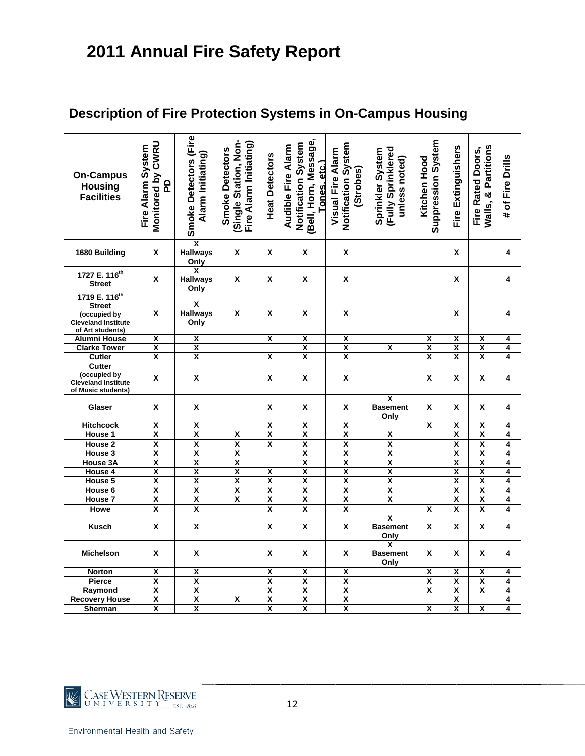#### **Description of Fire Protection Systems in On-Campus Housing**

| <b>On-Campus</b><br><b>Housing</b><br><b>Facilities</b>                                                      | Monitored by CWRU<br>Fire Alarm System<br><u>P</u> | Smoke Detectors (Fire<br>Alarm Initiating)    | Single Station, Non-<br>Fire Alarm Initiating)<br><b>Smoke Detectors</b> | <b>Heat Detectors</b>   | Bell, Horn, Message,<br>Notification System<br><b>Audible Fire Alarm</b><br>Tones. etc.) | Notification System<br>Visual Fire Alarm<br>(Strobes) | (Fully Sprinklered<br>Sprinkler System<br>unless noted) | <b>Suppression System</b><br><b>Kitchen Hood</b> | Fire Extinguishers      | Walls, & Partitions<br>Fire Rated Doors, | # of Fire Drills |
|--------------------------------------------------------------------------------------------------------------|----------------------------------------------------|-----------------------------------------------|--------------------------------------------------------------------------|-------------------------|------------------------------------------------------------------------------------------|-------------------------------------------------------|---------------------------------------------------------|--------------------------------------------------|-------------------------|------------------------------------------|------------------|
| 1680 Building                                                                                                | X                                                  | χ<br><b>Hallways</b><br>Only                  | X                                                                        | X                       | X                                                                                        | X                                                     |                                                         |                                                  | X                       |                                          | 4                |
| 1727 E. 116 <sup>th</sup><br><b>Street</b>                                                                   | X                                                  | X<br><b>Hallways</b><br>Only                  | Χ                                                                        | Χ                       | X                                                                                        | X                                                     |                                                         |                                                  | X                       |                                          | 4                |
| 1719 E. 116 <sup>th</sup><br><b>Street</b><br>(occupied by<br><b>Cleveland Institute</b><br>of Art students) | Χ                                                  | $\pmb{\mathsf{X}}$<br><b>Hallways</b><br>Only | Χ                                                                        | X                       | X                                                                                        | Χ                                                     |                                                         |                                                  | x                       |                                          | 4                |
| <b>Alumni House</b>                                                                                          | x                                                  | χ                                             |                                                                          | x                       | X                                                                                        | $\overline{\mathbf{x}}$                               |                                                         | X                                                | Χ                       | $\overline{\mathbf{x}}$                  | 4                |
| <b>Clarke Tower</b>                                                                                          | χ                                                  | Χ                                             |                                                                          |                         | X                                                                                        | $\overline{\mathbf{x}}$                               | X                                                       | $\overline{\mathbf{x}}$                          | $\overline{\mathbf{x}}$ | χ                                        | 4                |
| Cutler                                                                                                       | X                                                  | X                                             |                                                                          | X                       | X                                                                                        | χ                                                     |                                                         | $\overline{\mathsf{x}}$                          | $\overline{\mathbf{x}}$ | X                                        | 4                |
| <b>Cutter</b>                                                                                                |                                                    |                                               |                                                                          |                         |                                                                                          |                                                       |                                                         |                                                  |                         |                                          |                  |
| (occupied by<br><b>Cleveland Institute</b><br>of Music students)                                             | X                                                  | X                                             |                                                                          | X                       | X                                                                                        | X                                                     |                                                         | X                                                | x                       | X                                        | 4                |
| Glaser                                                                                                       | X                                                  | X                                             |                                                                          | X                       | X                                                                                        | X                                                     | $\overline{\mathbf{x}}$<br><b>Basement</b><br>Only      | X                                                | X                       | X                                        | 4                |
| <b>Hitchcock</b>                                                                                             | χ                                                  | χ                                             |                                                                          | X                       | X                                                                                        | X                                                     |                                                         | X                                                | X                       | χ                                        | 4                |
| House 1                                                                                                      | $\overline{\mathbf{x}}$                            | $\overline{\mathbf{x}}$                       | $\overline{\mathbf{x}}$                                                  | $\overline{\mathbf{x}}$ | $\overline{\mathbf{x}}$                                                                  | $\overline{\mathbf{x}}$                               | X                                                       |                                                  | $\overline{\mathbf{x}}$ | X                                        | 4                |
| House <sub>2</sub>                                                                                           | $\overline{\mathbf{x}}$                            | $\overline{\mathbf{x}}$                       | $\overline{\mathsf{x}}$                                                  | $\overline{\mathbf{x}}$ | $\overline{\mathbf{x}}$                                                                  | $\overline{\mathbf{x}}$                               | $\overline{\mathbf{x}}$                                 |                                                  | $\overline{\mathbf{x}}$ | $\overline{\mathbf{x}}$                  | 4                |
| House 3                                                                                                      | $\overline{\mathbf{x}}$                            | $\overline{\mathbf{x}}$                       | $\overline{\mathbf{x}}$                                                  |                         | $\overline{\mathbf{x}}$                                                                  | $\overline{\mathbf{x}}$                               | $\overline{\mathbf{x}}$                                 |                                                  | $\overline{\mathbf{x}}$ | $\overline{\mathbf{x}}$                  | 4                |
| House 3A                                                                                                     | $\overline{\mathbf{x}}$                            | $\overline{\mathbf{x}}$                       | $\overline{\mathbf{x}}$                                                  |                         | $\overline{\mathbf{x}}$                                                                  | $\overline{\mathbf{x}}$                               | $\overline{\mathbf{x}}$                                 |                                                  | $\overline{\mathbf{x}}$ | $\overline{\mathbf{x}}$                  | 4                |
| <b>House 4</b>                                                                                               | $\overline{\mathsf{x}}$                            | $\overline{\mathbf{x}}$                       | $\overline{\mathbf{x}}$                                                  | $\overline{\mathsf{x}}$ | $\overline{\mathbf{x}}$                                                                  | $\overline{\mathbf{x}}$                               | $\overline{\mathsf{x}}$                                 |                                                  | $\overline{\mathsf{x}}$ | $\overline{\mathsf{x}}$                  | 4                |
| House 5                                                                                                      | $\overline{\mathbf{x}}$                            | $\overline{\mathbf{x}}$                       | $\overline{\mathbf{x}}$                                                  | $\overline{\mathbf{x}}$ | $\overline{\mathbf{x}}$                                                                  | $\overline{\mathbf{x}}$                               | $\overline{\mathbf{x}}$                                 |                                                  | $\overline{\mathbf{x}}$ | $\overline{\mathbf{x}}$                  | 4                |
| House 6                                                                                                      | $\overline{\mathbf{x}}$                            | $\overline{\mathbf{x}}$                       | $\overline{\mathbf{x}}$                                                  | $\overline{\mathbf{x}}$ | $\overline{\mathbf{x}}$                                                                  | $\overline{\mathbf{x}}$                               | $\overline{\mathbf{x}}$                                 |                                                  | $\overline{\mathbf{x}}$ | $\overline{\mathbf{x}}$                  | 4                |
| House <sub>7</sub>                                                                                           | χ                                                  | $\overline{\mathbf{x}}$                       | $\overline{\mathsf{x}}$                                                  | $\overline{\mathbf{x}}$ | $\overline{\mathbf{x}}$                                                                  | $\overline{\mathsf{x}}$                               | X                                                       |                                                  | $\overline{\mathsf{x}}$ | χ                                        | 4                |
| Howe                                                                                                         | X                                                  | $\overline{\mathbf{x}}$                       |                                                                          | X                       | $\overline{\mathbf{x}}$                                                                  | $\overline{\mathbf{x}}$                               |                                                         | X                                                | X                       | X                                        | 4                |
| <b>Kusch</b>                                                                                                 | X                                                  | X                                             |                                                                          | X                       | X                                                                                        | X                                                     | $\overline{\mathbf{x}}$<br><b>Basement</b><br>Only      | X                                                | X                       | X                                        | 4                |
| <b>Michelson</b>                                                                                             | Χ                                                  | X                                             |                                                                          | x                       | Χ                                                                                        | X                                                     | $\overline{\mathsf{x}}$<br><b>Basement</b><br>Only      | X                                                | X                       | Χ                                        | 4                |
| <b>Norton</b>                                                                                                | X                                                  | $\overline{\mathsf{x}}$                       |                                                                          | $\overline{\mathsf{x}}$ | $\overline{\mathsf{x}}$                                                                  | $\overline{\mathsf{x}}$                               |                                                         | $\overline{\mathsf{x}}$                          | $\overline{\mathsf{x}}$ | $\overline{\mathsf{x}}$                  | 4                |
| <b>Pierce</b>                                                                                                | $\overline{\mathbf{x}}$                            | $\overline{\mathbf{x}}$                       |                                                                          | $\overline{\mathbf{x}}$ | $\overline{\mathbf{x}}$                                                                  | $\overline{\mathbf{x}}$                               |                                                         | $\overline{\mathbf{x}}$                          | $\overline{\mathbf{x}}$ | $\overline{\mathsf{x}}$                  | 4                |
| Raymond                                                                                                      | $\overline{\mathbf{x}}$                            | $\overline{\mathbf{x}}$                       |                                                                          | $\overline{\mathbf{x}}$ | $\overline{\mathbf{x}}$                                                                  | $\frac{\mathsf{x}}{\mathsf{x}}$                       |                                                         | $\overline{\mathbf{x}}$                          | $\overline{\mathbf{x}}$ | $\overline{\mathbf{x}}$                  | 4                |
| <b>Recovery House</b>                                                                                        | $\overline{\mathbf{x}}$                            | $\overline{\mathbf{x}}$                       | X                                                                        | $\overline{\mathbf{x}}$ | $\overline{\mathsf{x}}$                                                                  |                                                       |                                                         |                                                  | $\overline{\mathsf{x}}$ |                                          | 4                |
| Sherman                                                                                                      | X                                                  | $\overline{\mathbf{x}}$                       |                                                                          | χ                       | χ                                                                                        | $\overline{\mathbf{x}}$                               |                                                         | X                                                | X                       | X                                        | 4                |

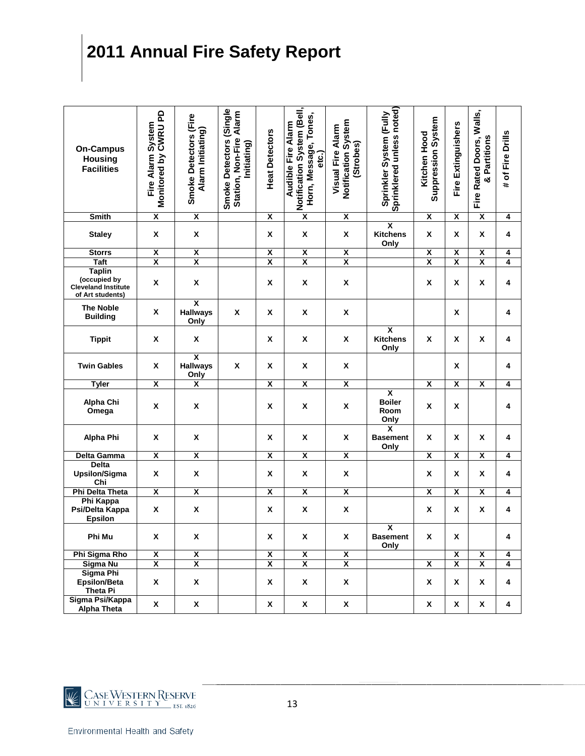| <b>On-Campus</b><br><b>Housing</b><br><b>Facilities</b>                         | Monitored by CWRU PD<br>Fire Alarm System | Smoke Detectors (Fire<br>Alarm Initiating)         | Smoke Detectors (Single<br>Station, Non-Fire Alarm<br>Initiating) | <b>Heat Detectors</b>   | Notification System (Bell,<br>Horn, Message, Tones,<br><b>Audible Fire Alarm</b><br>etc.) | Notification System<br><b>Visual Fire Alarm</b><br>(Strobes) | Sprinklered unless noted)<br>Sprinkler System (Fully     | <b>Suppression System</b><br>Kitchen Hood | Fire Extinguishers      | Fire Rated Doors, Walls,<br>& Partitions | # of Fire Drills |
|---------------------------------------------------------------------------------|-------------------------------------------|----------------------------------------------------|-------------------------------------------------------------------|-------------------------|-------------------------------------------------------------------------------------------|--------------------------------------------------------------|----------------------------------------------------------|-------------------------------------------|-------------------------|------------------------------------------|------------------|
| <b>Smith</b>                                                                    | $\overline{\mathbf{x}}$                   | $\overline{\mathbf{X}}$                            |                                                                   | $\overline{\mathbf{x}}$ | $\overline{\mathbf{x}}$                                                                   | $\overline{\mathbf{x}}$                                      |                                                          | $\overline{\mathbf{x}}$                   | X                       | $\overline{\mathbf{x}}$                  | 4                |
| <b>Staley</b>                                                                   | X                                         | X                                                  |                                                                   | X                       | X                                                                                         | X                                                            | $\overline{\mathbf{x}}$<br><b>Kitchens</b><br>Only       | X                                         | Χ                       | X                                        | 4                |
| <b>Storrs</b>                                                                   | X                                         | $\overline{\mathbf{X}}$                            |                                                                   | X                       | X                                                                                         | $\overline{\mathbf{x}}$                                      |                                                          | X                                         | $\overline{\mathbf{x}}$ | χ                                        | 4                |
| <b>Taft</b>                                                                     | X                                         | $\overline{\mathbf{x}}$                            |                                                                   | X                       | X                                                                                         | X                                                            |                                                          | X                                         | $\overline{\mathbf{x}}$ | X                                        | 4                |
| <b>Taplin</b><br>(occupied by<br><b>Cleveland Institute</b><br>of Art students) | X                                         | X                                                  |                                                                   | X                       | X                                                                                         | X                                                            |                                                          | X                                         | X                       | X                                        | 4                |
| <b>The Noble</b><br><b>Building</b>                                             | X                                         | $\overline{\mathbf{x}}$<br><b>Hallways</b><br>Only | X                                                                 | X                       | X                                                                                         | X                                                            |                                                          |                                           | X                       |                                          | 4                |
| <b>Tippit</b>                                                                   | X                                         | X                                                  |                                                                   | X                       | X                                                                                         | X                                                            | $\overline{\mathbf{x}}$<br><b>Kitchens</b><br>Only       | X                                         | X                       | X                                        | 4                |
| <b>Twin Gables</b>                                                              | X                                         | $\overline{\mathbf{x}}$<br><b>Hallways</b><br>Only | X                                                                 | Χ                       | X                                                                                         | X                                                            |                                                          |                                           | X                       |                                          | 4                |
| <b>Tyler</b>                                                                    | $\overline{\mathbf{x}}$                   | $\overline{\mathbf{x}}$                            |                                                                   | $\overline{\mathbf{x}}$ | $\overline{\mathbf{x}}$                                                                   | $\overline{\mathbf{x}}$                                      |                                                          | $\overline{\mathbf{x}}$                   | $\overline{\mathbf{x}}$ | $\overline{\mathbf{x}}$                  | 4                |
| Alpha Chi<br>Omega                                                              | X                                         | X                                                  |                                                                   | X                       | X                                                                                         | Χ                                                            | $\overline{\mathbf{x}}$<br><b>Boiler</b><br>Room<br>Only | X                                         | X                       |                                          | 4                |
| <b>Alpha Phi</b>                                                                | X                                         | X                                                  |                                                                   | X                       | X                                                                                         | $\pmb{\mathsf{x}}$                                           | $\overline{\mathbf{x}}$<br><b>Basement</b><br>Only       | X                                         | X                       | X                                        | 4                |
| Delta Gamma                                                                     | X                                         | $\overline{\mathbf{x}}$                            |                                                                   | $\overline{\mathbf{x}}$ | $\overline{\mathbf{x}}$                                                                   | $\overline{\mathbf{x}}$                                      |                                                          | $\overline{\mathbf{x}}$                   | $\overline{\mathbf{x}}$ | $\overline{\mathbf{x}}$                  | 4                |
| <b>Delta</b><br><b>Upsilon/Sigma</b><br>Chi                                     | X                                         | X                                                  |                                                                   | X                       | X                                                                                         | X                                                            |                                                          | X                                         | X                       | X                                        | 4                |
| <b>Phi Delta Theta</b>                                                          | $\overline{\mathbf{x}}$                   | χ                                                  |                                                                   | $\overline{\mathbf{x}}$ | $\overline{\mathbf{x}}$                                                                   | X                                                            |                                                          | $\overline{\mathbf{x}}$                   | X                       | $\overline{\mathbf{x}}$                  | 4                |
| Phi Kappa<br>Psi/Delta Kappa<br><b>Epsilon</b>                                  | X                                         | X                                                  |                                                                   | Χ                       | X                                                                                         | X                                                            |                                                          | X                                         | Χ                       | X                                        | 4                |
| Phi Mu                                                                          | X                                         | x                                                  |                                                                   | x                       | X                                                                                         | X                                                            | $\overline{\mathbf{x}}$<br><b>Basement</b><br>Only       | X                                         | X                       |                                          | 4                |
| Phi Sigma Rho                                                                   | $\pmb{\chi}$                              | $\overline{\mathbf{X}}$                            |                                                                   | $\overline{\mathbf{x}}$ | $\overline{\mathbf{x}}$                                                                   | $\overline{\mathbf{X}}$                                      |                                                          |                                           | $\overline{\mathbf{X}}$ | $\overline{\mathbf{X}}$                  | 4                |
| Sigma Nu                                                                        | $\overline{\mathbf{x}}$                   | $\overline{\mathbf{x}}$                            |                                                                   | $\overline{\mathbf{x}}$ | $\overline{\mathbf{x}}$                                                                   | $\overline{\mathbf{x}}$                                      |                                                          | $\overline{\mathbf{x}}$                   | $\overline{\mathbf{x}}$ | $\overline{\mathbf{x}}$                  | 4                |
| Sigma Phi<br><b>Epsilon/Beta</b><br>Theta Pi                                    | X                                         | X                                                  |                                                                   | X                       | X                                                                                         | X                                                            |                                                          | X                                         | X                       | X                                        | 4                |
| Sigma Psi/Kappa<br>Alpha Theta                                                  | $\pmb{\mathsf{x}}$                        | $\mathbf{x}$                                       |                                                                   | $\mathbf{x}$            | $\pmb{\mathsf{X}}$                                                                        | $\pmb{\mathsf{x}}$                                           |                                                          | $\pmb{\mathsf{X}}$                        | $\pmb{\mathsf{x}}$      | $\pmb{\mathsf{x}}$                       | 4                |

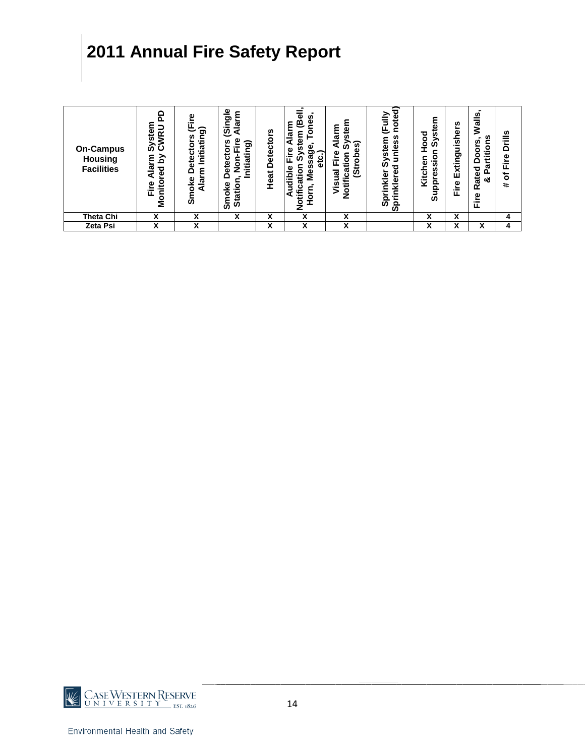| <b>On-Campus</b><br>Housing<br><b>Facilities</b> | ≏<br>n.<br>œ<br>ပ<br>ÚΟ<br>≧<br>ਹ<br>ᠭᢐ<br>Φ<br>읕<br>ω<br>Ξ<br>ı.<br>ο<br>Σ | ݡ<br>ත<br>Initiatin<br>n<br>ō<br>ω<br>휾<br>٤<br>$\overline{A}$ lar<br>ع<br>ج<br>Smol | $\frac{6}{5}$<br>ᠭᠣ<br>ଡ଼<br>◀<br>ω<br>n,<br>ಕಾ<br>o<br>ಸ<br>Φ<br>o<br>Ξ<br>ω<br>۵<br>٧e<br>Statio<br>$\circ$<br>န္တ | n<br>Detector<br>Heat | ω<br>ø<br>Φ<br>o<br>ε<br>ω<br>ω<br>a<br>ω<br>Φ<br><b>Ú)</b><br>ᠭᢐ<br><u>ט</u><br>ш<br>ក<br>ω<br>۰<br>៖<br>ō<br>Φ<br>ರ<br>Ē<br>a<br>ō<br>ō | ξ<br><u>gr</u><br>ø<br>୕ୖୖ<br>e<br>Eir<br>ទ<br>8<br>ā<br>ಸ<br><b>Ú)</b><br>--<br>Notifi<br><u>ূপ</u> | noted<br>щ<br>U)<br>stem<br>ū,<br>نة<br>E<br>⋗<br>m<br>ò<br>ၑ<br>$\frac{1}{2}$<br>⊽<br>Ξ.<br>Ω<br>ā<br>ທົ | ٤<br>ω<br>ਠ<br><b>in</b><br>$\circ$<br>ଜି<br>٥<br>⊂<br>sia<br>⊆<br>Φ<br>n<br>Kitcl<br>ق<br><u>pp</u><br>ತೆ | U)<br>Extinguisher<br>Fire | $\blacksquare$<br><u>ທ</u><br>ಸ<br>2<br>۴S<br>$\overline{\phantom{a}}$<br>n<br>itio<br>8<br>ゼ<br>≏<br>ᢐ<br><b>Rated</b><br>o.<br>య<br>Φ<br>운 | <b>Drills</b><br>Fire<br>đ<br># |
|--------------------------------------------------|-----------------------------------------------------------------------------|--------------------------------------------------------------------------------------|----------------------------------------------------------------------------------------------------------------------|-----------------------|-------------------------------------------------------------------------------------------------------------------------------------------|------------------------------------------------------------------------------------------------------|-----------------------------------------------------------------------------------------------------------|------------------------------------------------------------------------------------------------------------|----------------------------|----------------------------------------------------------------------------------------------------------------------------------------------|---------------------------------|
| Theta Chi                                        | v<br>Λ                                                                      | ν                                                                                    | x                                                                                                                    | x                     | x                                                                                                                                         | v<br>Λ                                                                                               |                                                                                                           | χ                                                                                                          | x                          |                                                                                                                                              | 4                               |
| Zeta Psi                                         | v<br>$\lambda$                                                              | v<br>ᄉ                                                                               |                                                                                                                      | x                     | x                                                                                                                                         | v<br>$\lambda$                                                                                       |                                                                                                           | v<br>ᄉ                                                                                                     | ^                          | v<br>Λ                                                                                                                                       | 4                               |

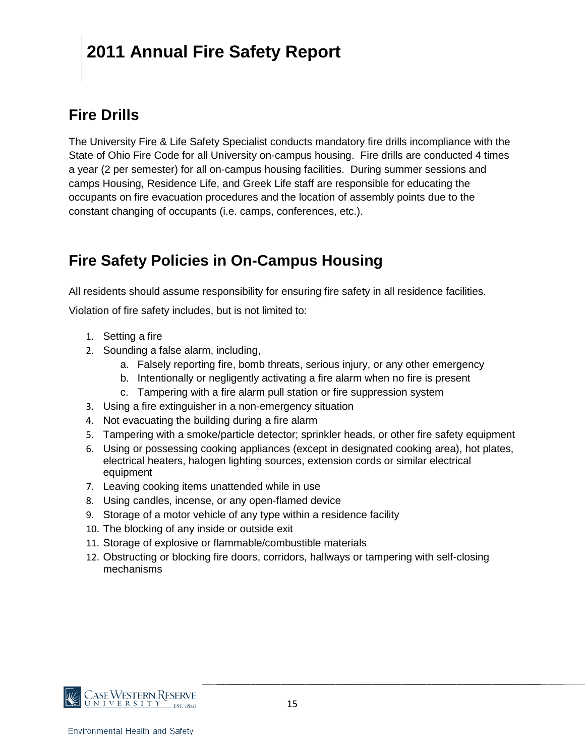#### **Fire Drills**

The University Fire & Life Safety Specialist conducts mandatory fire drills incompliance with the State of Ohio Fire Code for all University on-campus housing. Fire drills are conducted 4 times a year (2 per semester) for all on-campus housing facilities. During summer sessions and camps Housing, Residence Life, and Greek Life staff are responsible for educating the occupants on fire evacuation procedures and the location of assembly points due to the constant changing of occupants (i.e. camps, conferences, etc.).

#### **Fire Safety Policies in On-Campus Housing**

All residents should assume responsibility for ensuring fire safety in all residence facilities.

Violation of fire safety includes, but is not limited to:

- 1. Setting a fire
- 2. Sounding a false alarm, including,
	- a. Falsely reporting fire, bomb threats, serious injury, or any other emergency
	- b. Intentionally or negligently activating a fire alarm when no fire is present
	- c. Tampering with a fire alarm pull station or fire suppression system
- 3. Using a fire extinguisher in a non-emergency situation
- 4. Not evacuating the building during a fire alarm
- 5. Tampering with a smoke/particle detector; sprinkler heads, or other fire safety equipment
- 6. Using or possessing cooking appliances (except in designated cooking area), hot plates, electrical heaters, halogen lighting sources, extension cords or similar electrical equipment
- 7. Leaving cooking items unattended while in use
- 8. Using candles, incense, or any open-flamed device
- 9. Storage of a motor vehicle of any type within a residence facility
- 10. The blocking of any inside or outside exit
- 11. Storage of explosive or flammable/combustible materials
- 12. Obstructing or blocking fire doors, corridors, hallways or tampering with self-closing mechanisms

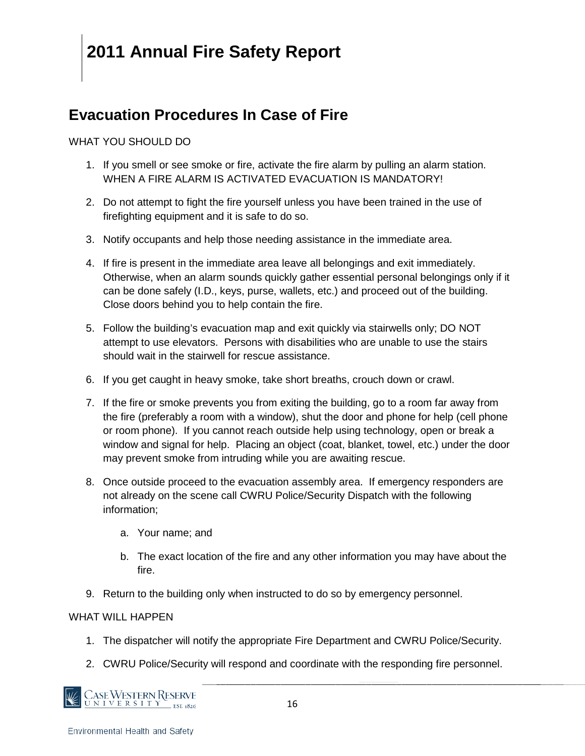#### **Evacuation Procedures In Case of Fire**

#### WHAT YOU SHOULD DO

- 1. If you smell or see smoke or fire, activate the fire alarm by pulling an alarm station. WHEN A FIRE ALARM IS ACTIVATED EVACUATION IS MANDATORY!
- 2. Do not attempt to fight the fire yourself unless you have been trained in the use of firefighting equipment and it is safe to do so.
- 3. Notify occupants and help those needing assistance in the immediate area.
- 4. If fire is present in the immediate area leave all belongings and exit immediately. Otherwise, when an alarm sounds quickly gather essential personal belongings only if it can be done safely (I.D., keys, purse, wallets, etc.) and proceed out of the building. Close doors behind you to help contain the fire.
- 5. Follow the building's evacuation map and exit quickly via stairwells only; DO NOT attempt to use elevators. Persons with disabilities who are unable to use the stairs should wait in the stairwell for rescue assistance.
- 6. If you get caught in heavy smoke, take short breaths, crouch down or crawl.
- 7. If the fire or smoke prevents you from exiting the building, go to a room far away from the fire (preferably a room with a window), shut the door and phone for help (cell phone or room phone). If you cannot reach outside help using technology, open or break a window and signal for help. Placing an object (coat, blanket, towel, etc.) under the door may prevent smoke from intruding while you are awaiting rescue.
- 8. Once outside proceed to the evacuation assembly area. If emergency responders are not already on the scene call CWRU Police/Security Dispatch with the following information;
	- a. Your name; and
	- b. The exact location of the fire and any other information you may have about the fire.
- 9. Return to the building only when instructed to do so by emergency personnel.

#### WHAT WILL HAPPFN

- 1. The dispatcher will notify the appropriate Fire Department and CWRU Police/Security.
- 2. CWRU Police/Security will respond and coordinate with the responding fire personnel.

CASE WESTERN RESERVE N I V E R S I T Y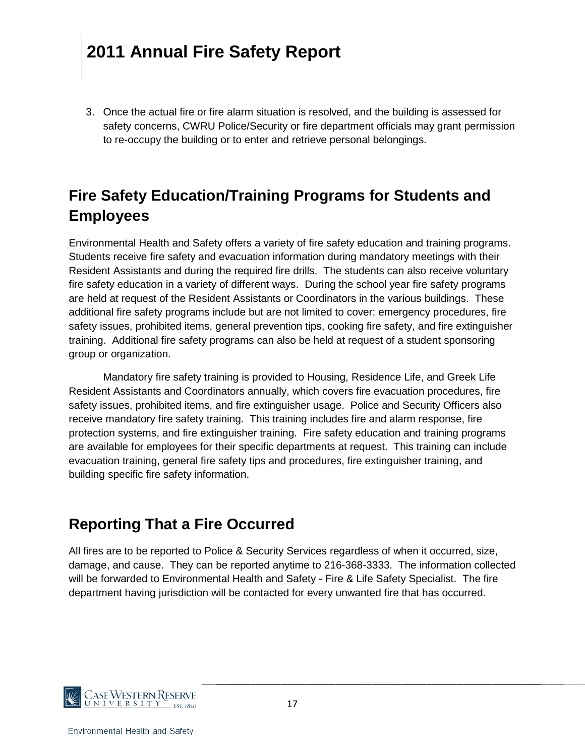3. Once the actual fire or fire alarm situation is resolved, and the building is assessed for safety concerns, CWRU Police/Security or fire department officials may grant permission to re-occupy the building or to enter and retrieve personal belongings.

#### **Fire Safety Education/Training Programs for Students and Employees**

Environmental Health and Safety offers a variety of fire safety education and training programs. Students receive fire safety and evacuation information during mandatory meetings with their Resident Assistants and during the required fire drills. The students can also receive voluntary fire safety education in a variety of different ways. During the school year fire safety programs are held at request of the Resident Assistants or Coordinators in the various buildings. These additional fire safety programs include but are not limited to cover: emergency procedures, fire safety issues, prohibited items, general prevention tips, cooking fire safety, and fire extinguisher training. Additional fire safety programs can also be held at request of a student sponsoring group or organization.

Mandatory fire safety training is provided to Housing, Residence Life, and Greek Life Resident Assistants and Coordinators annually, which covers fire evacuation procedures, fire safety issues, prohibited items, and fire extinguisher usage. Police and Security Officers also receive mandatory fire safety training. This training includes fire and alarm response, fire protection systems, and fire extinguisher training. Fire safety education and training programs are available for employees for their specific departments at request. This training can include evacuation training, general fire safety tips and procedures, fire extinguisher training, and building specific fire safety information.

#### **Reporting That a Fire Occurred**

All fires are to be reported to Police & Security Services regardless of when it occurred, size, damage, and cause. They can be reported anytime to 216-368-3333. The information collected will be forwarded to Environmental Health and Safety - Fire & Life Safety Specialist. The fire department having jurisdiction will be contacted for every unwanted fire that has occurred.